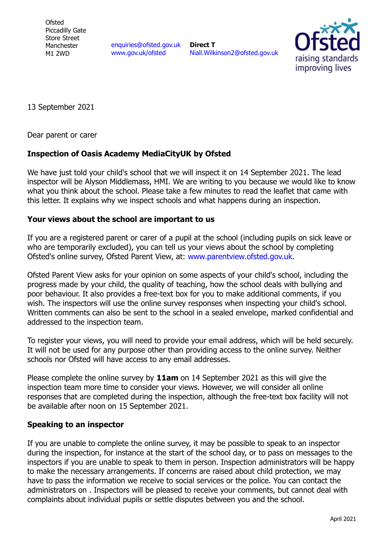**Ofsted** Piccadilly Gate Store Street Manchester M1 2WD

enquiries@ofsted.gov.uk www.gov.uk/ofsted

**Direct T**  Niall.Wilkinson2@ofsted.gov.uk



13 September 2021

Dear parent or carer

## **Inspection of Oasis Academy MediaCityUK by Ofsted**

We have just told your child's school that we will inspect it on 14 September 2021. The lead inspector will be Alyson Middlemass, HMI. We are writing to you because we would like to know what you think about the school. Please take a few minutes to read the leaflet that came with this letter. It explains why we inspect schools and what happens during an inspection.

## **Your views about the school are important to us**

If you are a registered parent or carer of a pupil at the school (including pupils on sick leave or who are temporarily excluded), you can tell us your views about the school by completing Ofsted's online survey, Ofsted Parent View, at: www.parentview.ofsted.gov.uk.

Ofsted Parent View asks for your opinion on some aspects of your child's school, including the progress made by your child, the quality of teaching, how the school deals with bullying and poor behaviour. It also provides a free-text box for you to make additional comments, if you wish. The inspectors will use the online survey responses when inspecting your child's school. Written comments can also be sent to the school in a sealed envelope, marked confidential and addressed to the inspection team.

To register your views, you will need to provide your email address, which will be held securely. It will not be used for any purpose other than providing access to the online survey. Neither schools nor Ofsted will have access to any email addresses.

Please complete the online survey by **11am** on 14 September 2021 as this will give the inspection team more time to consider your views. However, we will consider all online responses that are completed during the inspection, although the free-text box facility will not be available after noon on 15 September 2021.

## **Speaking to an inspector**

If you are unable to complete the online survey, it may be possible to speak to an inspector during the inspection, for instance at the start of the school day, or to pass on messages to the inspectors if you are unable to speak to them in person. Inspection administrators will be happy to make the necessary arrangements. If concerns are raised about child protection, we may have to pass the information we receive to social services or the police. You can contact the administrators on . Inspectors will be pleased to receive your comments, but cannot deal with complaints about individual pupils or settle disputes between you and the school.